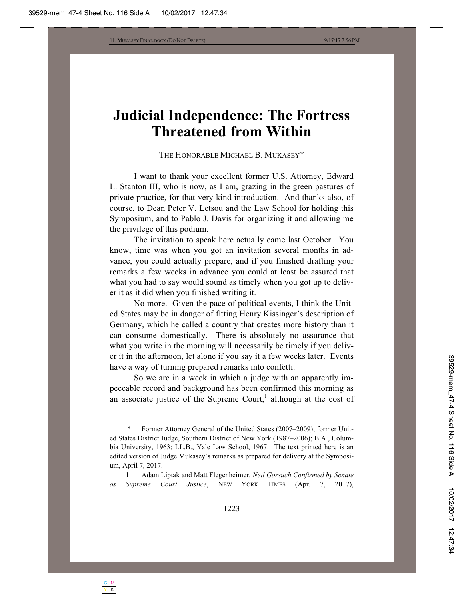## **Judicial Independence: The Fortress Threatened from Within**

THE HONORABLE MICHAEL B. MUKASEY\*

I want to thank your excellent former U.S. Attorney, Edward L. Stanton III, who is now, as I am, grazing in the green pastures of private practice, for that very kind introduction. And thanks also, of course, to Dean Peter V. Letsou and the Law School for holding this Symposium, and to Pablo J. Davis for organizing it and allowing me the privilege of this podium.

The invitation to speak here actually came last October. You know, time was when you got an invitation several months in advance, you could actually prepare, and if you finished drafting your remarks a few weeks in advance you could at least be assured that what you had to say would sound as timely when you got up to deliver it as it did when you finished writing it.

No more. Given the pace of political events, I think the United States may be in danger of fitting Henry Kissinger's description of Germany, which he called a country that creates more history than it can consume domestically. There is absolutely no assurance that what you write in the morning will necessarily be timely if you deliver it in the afternoon, let alone if you say it a few weeks later. Events have a way of turning prepared remarks into confetti.

So we are in a week in which a judge with an apparently impeccable record and background has been confirmed this morning as an associate justice of the Supreme Court,<sup>1</sup> although at the cost of

Former Attorney General of the United States (2007–2009); former United States District Judge, Southern District of New York (1987–2006); B.A., Columbia University, 1963; LL.B., Yale Law School, 1967. The text printed here is an edited version of Judge Mukasey's remarks as prepared for delivery at the Symposium, April 7, 2017.

 <sup>1.</sup> Adam Liptak and Matt Flegenheimer, *Neil Gorsuch Confirmed by Senate as Supreme Court Justice*, NEW YORK TIMES (Apr. 7, 2017),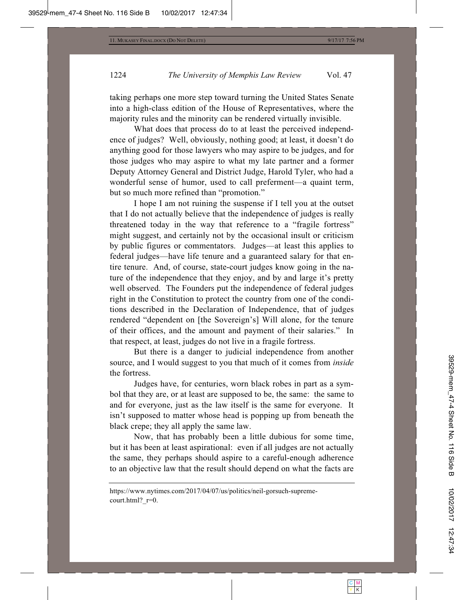taking perhaps one more step toward turning the United States Senate into a high-class edition of the House of Representatives, where the majority rules and the minority can be rendered virtually invisible.

What does that process do to at least the perceived independence of judges? Well, obviously, nothing good; at least, it doesn't do anything good for those lawyers who may aspire to be judges, and for those judges who may aspire to what my late partner and a former Deputy Attorney General and District Judge, Harold Tyler, who had a wonderful sense of humor, used to call preferment—a quaint term, but so much more refined than "promotion."

I hope I am not ruining the suspense if I tell you at the outset that I do not actually believe that the independence of judges is really threatened today in the way that reference to a "fragile fortress" might suggest, and certainly not by the occasional insult or criticism by public figures or commentators. Judges—at least this applies to federal judges—have life tenure and a guaranteed salary for that entire tenure. And, of course, state-court judges know going in the nature of the independence that they enjoy, and by and large it's pretty well observed. The Founders put the independence of federal judges right in the Constitution to protect the country from one of the conditions described in the Declaration of Independence, that of judges rendered "dependent on [the Sovereign's] Will alone, for the tenure of their offices, and the amount and payment of their salaries." In that respect, at least, judges do not live in a fragile fortress.

But there is a danger to judicial independence from another source, and I would suggest to you that much of it comes from *inside* the fortress.

Judges have, for centuries, worn black robes in part as a symbol that they are, or at least are supposed to be, the same: the same to and for everyone, just as the law itself is the same for everyone. It isn't supposed to matter whose head is popping up from beneath the black crepe; they all apply the same law.

Now, that has probably been a little dubious for some time, but it has been at least aspirational: even if all judges are not actually the same, they perhaps should aspire to a careful-enough adherence to an objective law that the result should depend on what the facts are

https://www.nytimes.com/2017/04/07/us/politics/neil-gorsuch-supremecourt.html?  $r=0$ .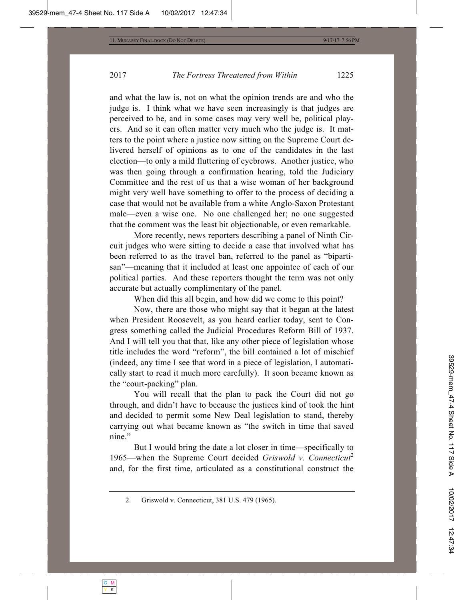and what the law is, not on what the opinion trends are and who the judge is. I think what we have seen increasingly is that judges are perceived to be, and in some cases may very well be, political players. And so it can often matter very much who the judge is. It matters to the point where a justice now sitting on the Supreme Court delivered herself of opinions as to one of the candidates in the last election—to only a mild fluttering of eyebrows. Another justice, who was then going through a confirmation hearing, told the Judiciary Committee and the rest of us that a wise woman of her background might very well have something to offer to the process of deciding a case that would not be available from a white Anglo-Saxon Protestant male—even a wise one. No one challenged her; no one suggested that the comment was the least bit objectionable, or even remarkable.

More recently, news reporters describing a panel of Ninth Circuit judges who were sitting to decide a case that involved what has been referred to as the travel ban, referred to the panel as "bipartisan"—meaning that it included at least one appointee of each of our political parties. And these reporters thought the term was not only accurate but actually complimentary of the panel.

When did this all begin, and how did we come to this point?

Now, there are those who might say that it began at the latest when President Roosevelt, as you heard earlier today, sent to Congress something called the Judicial Procedures Reform Bill of 1937. And I will tell you that that, like any other piece of legislation whose title includes the word "reform", the bill contained a lot of mischief (indeed, any time I see that word in a piece of legislation, I automatically start to read it much more carefully). It soon became known as the "court-packing" plan.

You will recall that the plan to pack the Court did not go through, and didn't have to because the justices kind of took the hint and decided to permit some New Deal legislation to stand, thereby carrying out what became known as "the switch in time that saved nine."

But I would bring the date a lot closer in time—specifically to 1965—when the Supreme Court decided *Griswold v. Connecticut*<sup>2</sup> and, for the first time, articulated as a constitutional construct the

 <sup>2.</sup> Griswold v. Connecticut, 381 U.S. 479 (1965).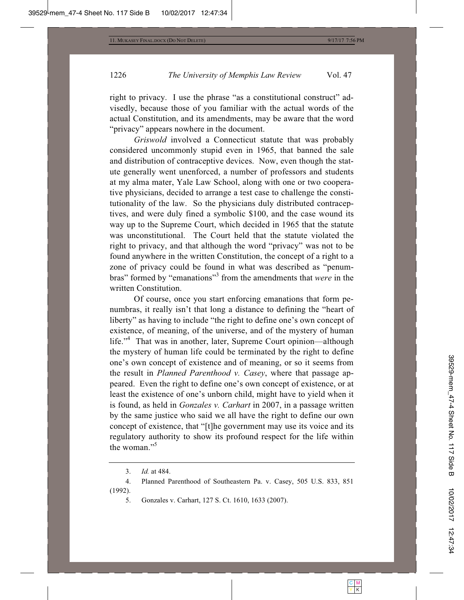right to privacy. I use the phrase "as a constitutional construct" advisedly, because those of you familiar with the actual words of the actual Constitution, and its amendments, may be aware that the word "privacy" appears nowhere in the document.

*Griswold* involved a Connecticut statute that was probably considered uncommonly stupid even in 1965, that banned the sale and distribution of contraceptive devices. Now, even though the statute generally went unenforced, a number of professors and students at my alma mater, Yale Law School, along with one or two cooperative physicians, decided to arrange a test case to challenge the constitutionality of the law. So the physicians duly distributed contraceptives, and were duly fined a symbolic \$100, and the case wound its way up to the Supreme Court, which decided in 1965 that the statute was unconstitutional. The Court held that the statute violated the right to privacy, and that although the word "privacy" was not to be found anywhere in the written Constitution, the concept of a right to a zone of privacy could be found in what was described as "penumbras" formed by "emanations"<sup>3</sup> from the amendments that *were* in the written Constitution.

Of course, once you start enforcing emanations that form penumbras, it really isn't that long a distance to defining the "heart of liberty" as having to include "the right to define one's own concept of existence, of meaning, of the universe, and of the mystery of human life."<sup>4</sup> That was in another, later, Supreme Court opinion—although the mystery of human life could be terminated by the right to define one's own concept of existence and of meaning, or so it seems from the result in *Planned Parenthood v. Casey*, where that passage appeared. Even the right to define one's own concept of existence, or at least the existence of one's unborn child, might have to yield when it is found, as held in *Gonzales v. Carhart* in 2007, in a passage written by the same justice who said we all have the right to define our own concept of existence, that "[t]he government may use its voice and its regulatory authority to show its profound respect for the life within the woman."<sup>5</sup>

 <sup>3.</sup> *Id.* at 484.

 <sup>4.</sup> Planned Parenthood of Southeastern Pa. v. Casey, 505 U.S. 833, 851 (1992).

 <sup>5.</sup> Gonzales v. Carhart, 127 S. Ct. 1610, 1633 (2007).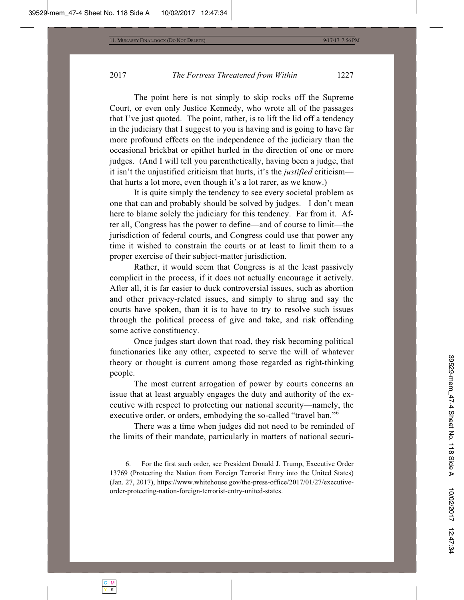The point here is not simply to skip rocks off the Supreme Court, or even only Justice Kennedy, who wrote all of the passages that I've just quoted. The point, rather, is to lift the lid off a tendency in the judiciary that I suggest to you is having and is going to have far more profound effects on the independence of the judiciary than the occasional brickbat or epithet hurled in the direction of one or more judges. (And I will tell you parenthetically, having been a judge, that it isn't the unjustified criticism that hurts, it's the *justified* criticism that hurts a lot more, even though it's a lot rarer, as we know.)

It is quite simply the tendency to see every societal problem as one that can and probably should be solved by judges. I don't mean here to blame solely the judiciary for this tendency. Far from it. After all, Congress has the power to define—and of course to limit—the jurisdiction of federal courts, and Congress could use that power any time it wished to constrain the courts or at least to limit them to a proper exercise of their subject-matter jurisdiction.

Rather, it would seem that Congress is at the least passively complicit in the process, if it does not actually encourage it actively. After all, it is far easier to duck controversial issues, such as abortion and other privacy-related issues, and simply to shrug and say the courts have spoken, than it is to have to try to resolve such issues through the political process of give and take, and risk offending some active constituency.

Once judges start down that road, they risk becoming political functionaries like any other, expected to serve the will of whatever theory or thought is current among those regarded as right-thinking people.

The most current arrogation of power by courts concerns an issue that at least arguably engages the duty and authority of the executive with respect to protecting our national security—namely, the executive order, or orders, embodying the so-called "travel ban."<sup>6</sup>

There was a time when judges did not need to be reminded of the limits of their mandate, particularly in matters of national securi-

 <sup>6.</sup> For the first such order, see President Donald J. Trump, Executive Order 13769 (Protecting the Nation from Foreign Terrorist Entry into the United States) (Jan. 27, 2017), https://www.whitehouse.gov/the-press-office/2017/01/27/executiveorder-protecting-nation-foreign-terrorist-entry-united-states.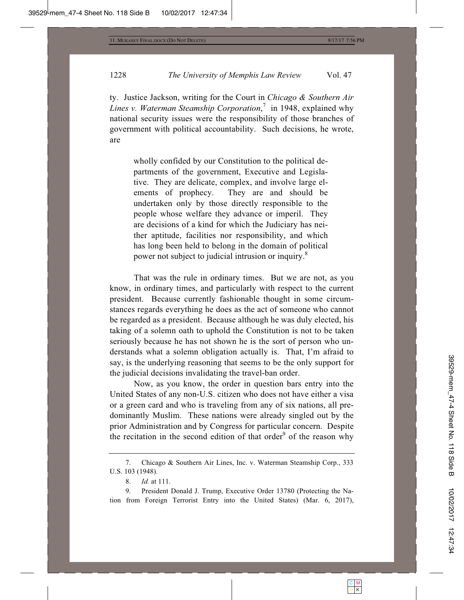ty. Justice Jackson, writing for the Court in *Chicago & Southern Air Lines v. Waterman Steamship Corporation*, 7 in 1948, explained why national security issues were the responsibility of those branches of government with political accountability. Such decisions, he wrote, are

wholly confided by our Constitution to the political departments of the government, Executive and Legislative. They are delicate, complex, and involve large elements of prophecy. They are and should be undertaken only by those directly responsible to the people whose welfare they advance or imperil. They are decisions of a kind for which the Judiciary has neither aptitude, facilities nor responsibility, and which has long been held to belong in the domain of political power not subject to judicial intrusion or inquiry.8

That was the rule in ordinary times. But we are not, as you know, in ordinary times, and particularly with respect to the current president. Because currently fashionable thought in some circumstances regards everything he does as the act of someone who cannot be regarded as a president. Because although he was duly elected, his taking of a solemn oath to uphold the Constitution is not to be taken seriously because he has not shown he is the sort of person who understands what a solemn obligation actually is. That, I'm afraid to say, is the underlying reasoning that seems to be the only support for the judicial decisions invalidating the travel-ban order.

Now, as you know, the order in question bars entry into the United States of any non-U.S. citizen who does not have either a visa or a green card and who is traveling from any of six nations, all predominantly Muslim. These nations were already singled out by the prior Administration and by Congress for particular concern. Despite the recitation in the second edition of that order $9$  of the reason why

 9. President Donald J. Trump, Executive Order 13780 (Protecting the Nation from Foreign Terrorist Entry into the United States) (Mar. 6, 2017),

 <sup>7.</sup> Chicago & Southern Air Lines, Inc. v. Waterman Steamship Corp., 333 U.S. 103 (1948).

 <sup>8.</sup> *Id.* at 111.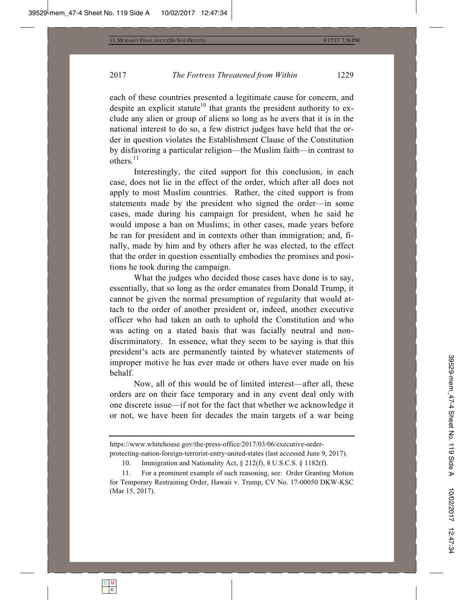each of these countries presented a legitimate cause for concern, and despite an explicit statute<sup>10</sup> that grants the president authority to exclude any alien or group of aliens so long as he avers that it is in the national interest to do so, a few district judges have held that the order in question violates the Establishment Clause of the Constitution by disfavoring a particular religion—the Muslim faith—in contrast to others.<sup>11</sup>

Interestingly, the cited support for this conclusion, in each case, does not lie in the effect of the order, which after all does not apply to most Muslim countries. Rather, the cited support is from statements made by the president who signed the order—in some cases, made during his campaign for president, when he said he would impose a ban on Muslims; in other cases, made years before he ran for president and in contexts other than immigration; and, finally, made by him and by others after he was elected, to the effect that the order in question essentially embodies the promises and positions he took during the campaign.

What the judges who decided those cases have done is to say, essentially, that so long as the order emanates from Donald Trump, it cannot be given the normal presumption of regularity that would attach to the order of another president or, indeed, another executive officer who had taken an oath to uphold the Constitution and who was acting on a stated basis that was facially neutral and nondiscriminatory. In essence, what they seem to be saying is that this president's acts are permanently tainted by whatever statements of improper motive he has ever made or others have ever made on his behalf.

Now, all of this would be of limited interest—after all, these orders are on their face temporary and in any event deal only with one discrete issue—if not for the fact that whether we acknowledge it or not, we have been for decades the main targets of a war being

10. Immigration and Nationality Act, § 212(f), 8 U.S.C.S. § 1182(f).

https://www.whitehouse.gov/the-press-office/2017/03/06/executive-orderprotecting-nation-foreign-terrorist-entry-united-states (last accessed June 9, 2017).

 <sup>11.</sup> For a prominent example of such reasoning, see: Order Granting Motion for Temporary Restraining Order, Hawaii v. Trump, CV No. 17-00050 DKW-KSC (Mar 15, 2017).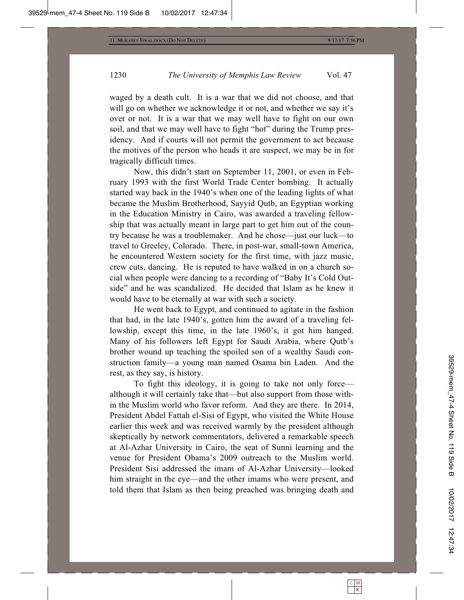waged by a death cult. It is a war that we did not choose, and that will go on whether we acknowledge it or not, and whether we say it's over or not. It is a war that we may well have to fight on our own soil, and that we may well have to fight "hot" during the Trump presidency. And if courts will not permit the government to act because the motives of the person who heads it are suspect, we may be in for tragically difficult times.

Now, this didn't start on September 11, 2001, or even in February 1993 with the first World Trade Center bombing. It actually started way back in the 1940's when one of the leading lights of what became the Muslim Brotherhood, Sayyid Qutb, an Egyptian working in the Education Ministry in Cairo, was awarded a traveling fellowship that was actually meant in large part to get him out of the country because he was a troublemaker. And he chose—just our luck—to travel to Greeley, Colorado. There, in post-war, small-town America, he encountered Western society for the first time, with jazz music, crew cuts, dancing. He is reputed to have walked in on a church social when people were dancing to a recording of "Baby It's Cold Outside" and he was scandalized. He decided that Islam as he knew it would have to be eternally at war with such a society.

He went back to Egypt, and continued to agitate in the fashion that had, in the late 1940's, gotten him the award of a traveling fellowship, except this time, in the late 1960's, it got him hanged. Many of his followers left Egypt for Saudi Arabia, where Qutb's brother wound up teaching the spoiled son of a wealthy Saudi construction family—a young man named Osama bin Laden. And the rest, as they say, is history.

To fight this ideology, it is going to take not only force although it will certainly take that—but also support from those within the Muslim world who favor reform. And they are there. In 2014, President Abdel Fattah el-Sisi of Egypt, who visited the White House earlier this week and was received warmly by the president although skeptically by network commentators, delivered a remarkable speech at Al-Azhar University in Cairo, the seat of Sunni learning and the venue for President Obama's 2009 outreach to the Muslim world. President Sisi addressed the imam of Al-Azhar University—looked him straight in the eye—and the other imams who were present, and told them that Islam as then being preached was bringing death and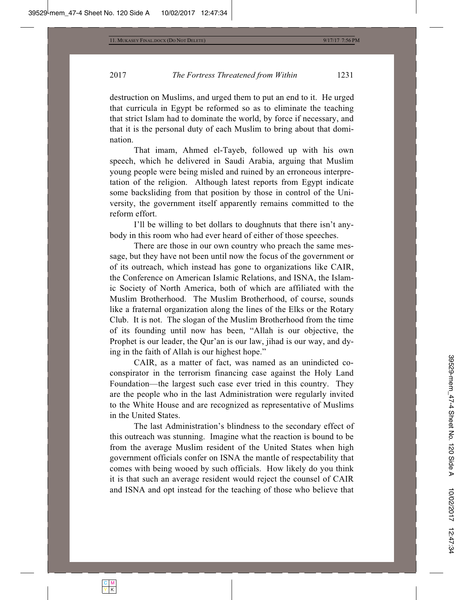destruction on Muslims, and urged them to put an end to it. He urged that curricula in Egypt be reformed so as to eliminate the teaching that strict Islam had to dominate the world, by force if necessary, and that it is the personal duty of each Muslim to bring about that domination.

That imam, Ahmed el-Tayeb, followed up with his own speech, which he delivered in Saudi Arabia, arguing that Muslim young people were being misled and ruined by an erroneous interpretation of the religion. Although latest reports from Egypt indicate some backsliding from that position by those in control of the University, the government itself apparently remains committed to the reform effort.

I'll be willing to bet dollars to doughnuts that there isn't anybody in this room who had ever heard of either of those speeches.

There are those in our own country who preach the same message, but they have not been until now the focus of the government or of its outreach, which instead has gone to organizations like CAIR, the Conference on American Islamic Relations, and ISNA, the Islamic Society of North America, both of which are affiliated with the Muslim Brotherhood. The Muslim Brotherhood, of course, sounds like a fraternal organization along the lines of the Elks or the Rotary Club. It is not. The slogan of the Muslim Brotherhood from the time of its founding until now has been, "Allah is our objective, the Prophet is our leader, the Qur'an is our law, jihad is our way, and dying in the faith of Allah is our highest hope."

CAIR, as a matter of fact, was named as an unindicted coconspirator in the terrorism financing case against the Holy Land Foundation—the largest such case ever tried in this country. They are the people who in the last Administration were regularly invited to the White House and are recognized as representative of Muslims in the United States.

The last Administration's blindness to the secondary effect of this outreach was stunning. Imagine what the reaction is bound to be from the average Muslim resident of the United States when high government officials confer on ISNA the mantle of respectability that comes with being wooed by such officials. How likely do you think it is that such an average resident would reject the counsel of CAIR and ISNA and opt instead for the teaching of those who believe that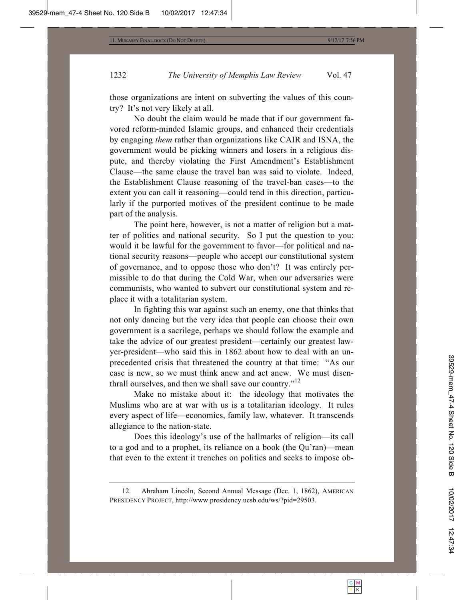those organizations are intent on subverting the values of this country? It's not very likely at all.

No doubt the claim would be made that if our government favored reform-minded Islamic groups, and enhanced their credentials by engaging *them* rather than organizations like CAIR and ISNA, the government would be picking winners and losers in a religious dispute, and thereby violating the First Amendment's Establishment Clause—the same clause the travel ban was said to violate. Indeed, the Establishment Clause reasoning of the travel-ban cases—to the extent you can call it reasoning—could tend in this direction, particularly if the purported motives of the president continue to be made part of the analysis.

The point here, however, is not a matter of religion but a matter of politics and national security. So I put the question to you: would it be lawful for the government to favor—for political and national security reasons—people who accept our constitutional system of governance, and to oppose those who don't? It was entirely permissible to do that during the Cold War, when our adversaries were communists, who wanted to subvert our constitutional system and replace it with a totalitarian system.

In fighting this war against such an enemy, one that thinks that not only dancing but the very idea that people can choose their own government is a sacrilege, perhaps we should follow the example and take the advice of our greatest president—certainly our greatest lawyer-president—who said this in 1862 about how to deal with an unprecedented crisis that threatened the country at that time: "As our case is new, so we must think anew and act anew. We must disenthrall ourselves, and then we shall save our country."<sup>12</sup>

Make no mistake about it: the ideology that motivates the Muslims who are at war with us is a totalitarian ideology. It rules every aspect of life—economics, family law, whatever. It transcends allegiance to the nation-state.

Does this ideology's use of the hallmarks of religion—its call to a god and to a prophet, its reliance on a book (the Qu'ran)—mean that even to the extent it trenches on politics and seeks to impose ob-

 <sup>12.</sup> Abraham Lincoln, Second Annual Message (Dec. 1, 1862), AMERICAN PRESIDENCY PROJECT, http://www.presidency.ucsb.edu/ws/?pid=29503.